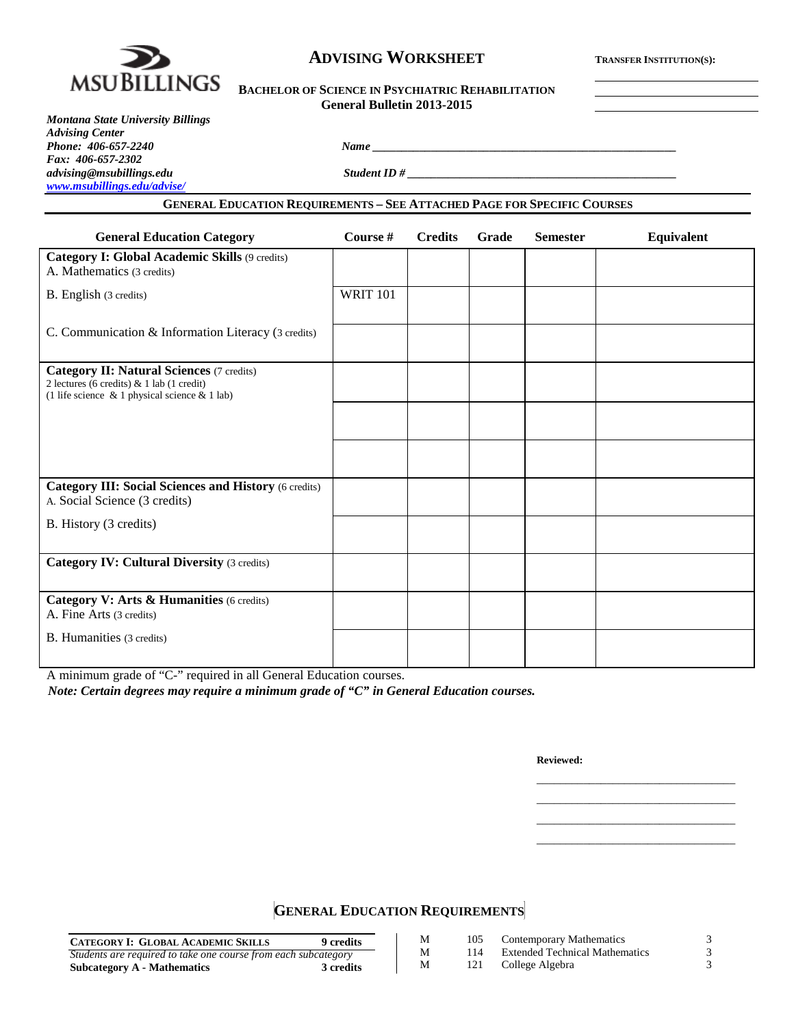

# **ADVISING WORKSHEET TRANSFER INSTITUTION(S):**

| <b>BACHELOR OF SCIENCE IN PSYCHIATRIC REHABILITATION</b> |  |
|----------------------------------------------------------|--|
| General Bulletin 2013-2015                               |  |

*advising@msubillings.edu Student ID # \_\_\_\_\_\_\_\_\_\_\_\_\_\_\_\_\_\_\_\_\_\_\_\_\_\_\_\_\_\_\_\_\_\_\_\_\_\_\_\_\_\_\_\_\_\_*

#### **GENERAL EDUCATION REQUIREMENTS – SEE ATTACHED PAGE FOR SPECIFIC COURSES**

*Phone: 406-657-2240 Name \_\_\_\_\_\_\_\_\_\_\_\_\_\_\_\_\_\_\_\_\_\_\_\_\_\_\_\_\_\_\_\_\_\_\_\_\_\_\_\_\_\_\_\_\_\_\_\_\_\_\_\_*

| <b>General Education Category</b>                                                                                                                    | Course #        | <b>Credits</b> | Grade | <b>Semester</b> | <b>Equivalent</b> |
|------------------------------------------------------------------------------------------------------------------------------------------------------|-----------------|----------------|-------|-----------------|-------------------|
| <b>Category I: Global Academic Skills (9 credits)</b><br>A. Mathematics (3 credits)                                                                  |                 |                |       |                 |                   |
| B. English (3 credits)                                                                                                                               | <b>WRIT 101</b> |                |       |                 |                   |
| C. Communication & Information Literacy (3 credits)                                                                                                  |                 |                |       |                 |                   |
| <b>Category II: Natural Sciences (7 credits)</b><br>2 lectures (6 credits) & 1 lab (1 credit)<br>(1 life science $\&$ 1 physical science $\&$ 1 lab) |                 |                |       |                 |                   |
|                                                                                                                                                      |                 |                |       |                 |                   |
|                                                                                                                                                      |                 |                |       |                 |                   |
| <b>Category III: Social Sciences and History (6 credits)</b><br>A. Social Science (3 credits)                                                        |                 |                |       |                 |                   |
| B. History (3 credits)                                                                                                                               |                 |                |       |                 |                   |
| <b>Category IV: Cultural Diversity (3 credits)</b>                                                                                                   |                 |                |       |                 |                   |
| Category V: Arts & Humanities (6 credits)<br>A. Fine Arts (3 credits)                                                                                |                 |                |       |                 |                   |
| <b>B.</b> Humanities (3 credits)                                                                                                                     |                 |                |       |                 |                   |

A minimum grade of "C-" required in all General Education courses.

*Note: Certain degrees may require a minimum grade of "C" in General Education courses.*

**Reviewed:**

\_\_\_\_\_\_\_\_\_\_\_\_\_\_\_\_\_\_\_\_\_\_\_\_\_\_\_\_\_\_\_\_\_\_ \_\_\_\_\_\_\_\_\_\_\_\_\_\_\_\_\_\_\_\_\_\_\_\_\_\_\_\_\_\_\_\_\_\_ \_\_\_\_\_\_\_\_\_\_\_\_\_\_\_\_\_\_\_\_\_\_\_\_\_\_\_\_\_\_\_\_\_\_ \_\_\_\_\_\_\_\_\_\_\_\_\_\_\_\_\_\_\_\_\_\_\_\_\_\_\_\_\_\_\_\_\_\_

**GENERAL EDUCATION REQUIREMENTS**

| <b>CATEGORY I: GLOBAL ACADEMIC SKILLS</b><br>9 credits         | М | 105 | Contemporary Mathematics              |  |
|----------------------------------------------------------------|---|-----|---------------------------------------|--|
| Students are required to take one course from each subcategory | М | 114 | <b>Extended Technical Mathematics</b> |  |
| Subcategory A - Mathematics<br>3 credits                       | M | 121 | College Algebra                       |  |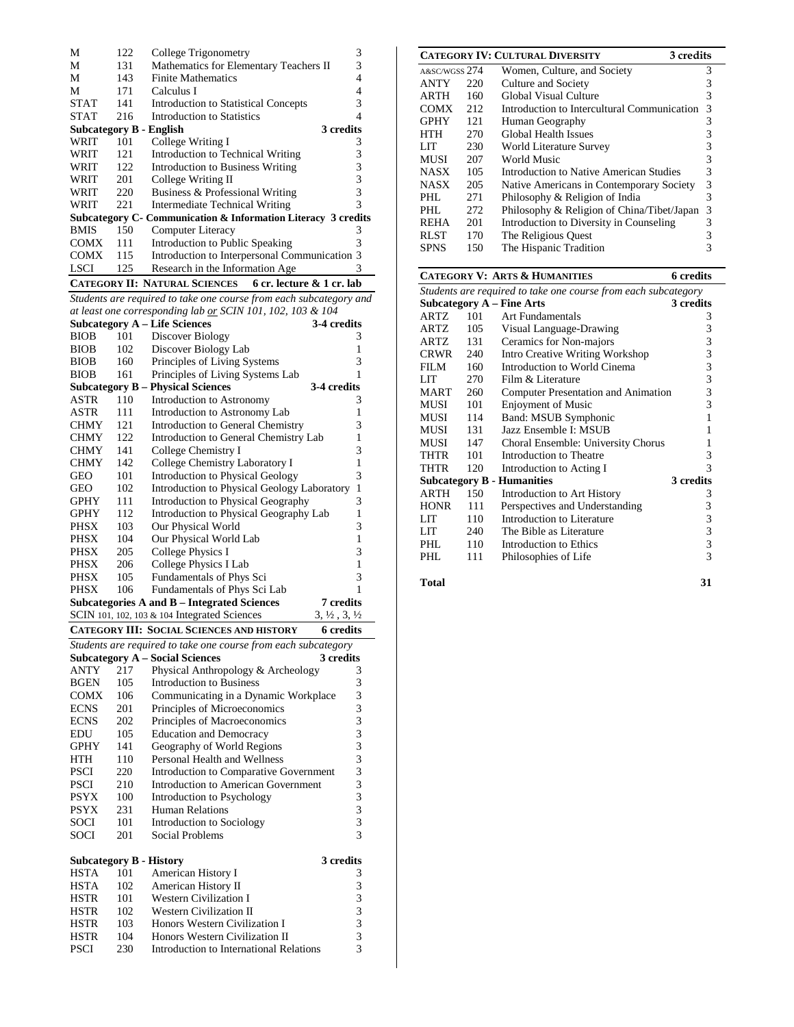| М                                                       | 122 | College Trigonometry                                           | 3         |  |  |  |
|---------------------------------------------------------|-----|----------------------------------------------------------------|-----------|--|--|--|
| М                                                       | 131 | Mathematics for Elementary Teachers II                         | 3         |  |  |  |
| М                                                       | 143 | <b>Finite Mathematics</b>                                      | 4         |  |  |  |
| М                                                       | 171 | Calculus I                                                     | 4         |  |  |  |
| <b>STAT</b>                                             | 141 | <b>Introduction to Statistical Concepts</b>                    | 3         |  |  |  |
| <b>STAT</b>                                             | 216 | Introduction to Statistics                                     | 4         |  |  |  |
| Subcategory B - English                                 |     |                                                                | 3 credits |  |  |  |
| WRIT                                                    | 101 | College Writing I                                              | 3         |  |  |  |
| WRIT                                                    | 121 | Introduction to Technical Writing                              | 3         |  |  |  |
| WRIT                                                    | 122 | Introduction to Business Writing                               | 3         |  |  |  |
| WRIT                                                    | 201 | College Writing II                                             | 3         |  |  |  |
| WRIT                                                    | 220 | Business & Professional Writing                                | 3         |  |  |  |
| WRIT                                                    | 221 | Intermediate Technical Writing                                 | 3         |  |  |  |
|                                                         |     | Subcategory C - Communication & Information Literacy 3 credits |           |  |  |  |
| <b>BMIS</b>                                             | 150 | Computer Literacy                                              | 3         |  |  |  |
| COMX                                                    | 111 | Introduction to Public Speaking                                | 3         |  |  |  |
| <b>COMX</b>                                             | 115 | Introduction to Interpersonal Communication 3                  |           |  |  |  |
| <b>LSCI</b>                                             | 125 | Research in the Information Age                                | 3         |  |  |  |
| CATEGORY II: NATURAL SCIENCES 6 cr. lecture & 1 cr. lab |     |                                                                |           |  |  |  |

*Students are required to take one course from each subcategory and at least one corresponding lab or SCIN 101, 102, 103 & 104*

|             |     | <b>Subcategory A - Life Sciences</b>             | 3-4 credits                      |
|-------------|-----|--------------------------------------------------|----------------------------------|
| <b>BIOB</b> | 101 | Discover Biology                                 | 3                                |
| <b>BIOB</b> | 102 | Discover Biology Lab                             | 1                                |
| <b>BIOB</b> | 160 | Principles of Living Systems                     | 3                                |
| <b>BIOB</b> | 161 | Principles of Living Systems Lab                 | 1                                |
|             |     | <b>Subcategory B – Physical Sciences</b>         | 3-4 credits                      |
| ASTR        | 110 | Introduction to Astronomy                        | 3                                |
| ASTR        | 111 | Introduction to Astronomy Lab                    | 1                                |
| <b>CHMY</b> | 121 | Introduction to General Chemistry                | 3                                |
| <b>CHMY</b> | 122 | Introduction to General Chemistry Lab            | 1                                |
| <b>CHMY</b> | 141 | College Chemistry I                              | 3                                |
| <b>CHMY</b> | 142 | College Chemistry Laboratory I                   | 1                                |
| <b>GEO</b>  | 101 | <b>Introduction to Physical Geology</b>          | 3                                |
| <b>GEO</b>  | 102 | Introduction to Physical Geology Laboratory      | 1                                |
| <b>GPHY</b> | 111 | Introduction to Physical Geography               | 3                                |
| <b>GPHY</b> | 112 | Introduction to Physical Geography Lab           | 1                                |
| PHSX        | 103 | Our Physical World                               | 3                                |
| PHSX        | 104 | Our Physical World Lab                           | 1                                |
| PHSX        | 205 | College Physics I                                | 3                                |
| PHSX        | 206 | College Physics I Lab                            | 1                                |
| PHSX        | 105 | Fundamentals of Phys Sci                         | 3                                |
| <b>PHSX</b> | 106 | Fundamentals of Phys Sci Lab                     | 1                                |
|             |     | Subcategories A and B – Integrated Sciences      | 7 credits                        |
|             |     | SCIN 101, 102, 103 & 104 Integrated Sciences     | $3, \frac{1}{2}, 3, \frac{1}{2}$ |
|             |     | <b>CATEGORY III: SOCIAL SCIENCES AND HISTORY</b> | 6 credits                        |

| Students are required to take one course from each subcategory |     |                                            |           |  |  |  |
|----------------------------------------------------------------|-----|--------------------------------------------|-----------|--|--|--|
|                                                                |     | <b>Subcategory A – Social Sciences</b>     | 3 credits |  |  |  |
| <b>ANTY</b>                                                    | 217 | Physical Anthropology & Archeology         | 3         |  |  |  |
| <b>BGEN</b>                                                    | 105 | <b>Introduction to Business</b>            | 3         |  |  |  |
| <b>COMX</b>                                                    | 106 | Communicating in a Dynamic Workplace       | 3         |  |  |  |
| <b>ECNS</b>                                                    | 201 | Principles of Microeconomics               | 3         |  |  |  |
| <b>ECNS</b>                                                    | 202 | Principles of Macroeconomics               | 3         |  |  |  |
| EDU                                                            | 105 | <b>Education and Democracy</b>             | 3         |  |  |  |
| <b>GPHY</b>                                                    | 141 | Geography of World Regions                 | 3         |  |  |  |
| <b>HTH</b>                                                     | 110 | Personal Health and Wellness               | 3         |  |  |  |
| <b>PSCI</b>                                                    | 220 | Introduction to Comparative Government     | 3         |  |  |  |
| <b>PSCI</b>                                                    | 210 | <b>Introduction to American Government</b> | 3         |  |  |  |
| <b>PSYX</b>                                                    | 100 | Introduction to Psychology                 | 3         |  |  |  |
| <b>PSYX</b>                                                    | 231 | <b>Human Relations</b>                     | 3         |  |  |  |
| <b>SOCI</b>                                                    | 101 | Introduction to Sociology                  | 3         |  |  |  |
| <b>SOCI</b>                                                    | 201 | Social Problems                            | 3         |  |  |  |
|                                                                |     |                                            |           |  |  |  |
| Subcategory B - History                                        |     |                                            | 3 credits |  |  |  |
| <b>HSTA</b>                                                    | 101 | American History I                         | 3         |  |  |  |
| <b>HSTA</b>                                                    | 102 | American History II                        | 3         |  |  |  |
| <b>HSTR</b>                                                    | 101 | <b>Western Civilization I</b>              | 3         |  |  |  |
| <b>HSTR</b>                                                    | 102 | <b>Western Civilization II</b>             | 3         |  |  |  |
| HSTR                                                           | 103 | Honors Western Civilization I              | 3         |  |  |  |
| <b>HSTR</b>                                                    | 104 | Honors Western Civilization II             | 3         |  |  |  |
| <b>PSCI</b>                                                    | 230 | Introduction to International Relations    | 3         |  |  |  |

|               |     | <b>CATEGORY IV: CULTURAL DIVERSITY</b><br>3 credits |   |
|---------------|-----|-----------------------------------------------------|---|
| A&SC/WGSS 274 |     | Women, Culture, and Society                         | 3 |
| <b>ANTY</b>   | 220 | Culture and Society                                 | 3 |
| ARTH          | 160 | Global Visual Culture                               | 3 |
| <b>COMX</b>   | 212 | Introduction to Intercultural Communication         | 3 |
| <b>GPHY</b>   | 121 | Human Geography                                     | 3 |
| HTH           | 270 | Global Health Issues                                | 3 |
| LIT           | 230 | World Literature Survey                             | 3 |
| MUSI          | 207 | World Music                                         | 3 |
| <b>NASX</b>   | 105 | Introduction to Native American Studies             | 3 |
| <b>NASX</b>   | 205 | Native Americans in Contemporary Society            | 3 |
| PHI.          | 271 | Philosophy & Religion of India                      | 3 |
| PHL           | 272 | Philosophy & Religion of China/Tibet/Japan          | 3 |
| <b>REHA</b>   | 201 | Introduction to Diversity in Counseling             | 3 |
| <b>RLST</b>   | 170 | The Religious Quest                                 | 3 |
| <b>SPNS</b>   | 150 | The Hispanic Tradition                              | 3 |

|                                                                |     | <b>CATEGORY V: ARTS &amp; HUMANITIES</b> | 6 credits |  |  |  |  |
|----------------------------------------------------------------|-----|------------------------------------------|-----------|--|--|--|--|
| Students are required to take one course from each subcategory |     |                                          |           |  |  |  |  |
|                                                                |     | Subcategory $A$ – Fine Arts              | 3 credits |  |  |  |  |
| ARTZ                                                           | 101 | Art Fundamentals                         | 3         |  |  |  |  |
| ARTZ                                                           | 105 | Visual Language-Drawing                  | 3         |  |  |  |  |
| ARTZ                                                           | 131 | Ceramics for Non-majors                  | 3         |  |  |  |  |
| <b>CRWR</b>                                                    | 240 | Intro Creative Writing Workshop          | 3         |  |  |  |  |
| FILM                                                           | 160 | Introduction to World Cinema             | 3         |  |  |  |  |
| LIT                                                            | 270 | Film & Literature                        | 3         |  |  |  |  |
| <b>MART</b>                                                    | 260 | Computer Presentation and Animation      | 3         |  |  |  |  |
| MUSI                                                           | 101 | <b>Enjoyment of Music</b>                | 3         |  |  |  |  |
| MUSI                                                           | 114 | Band: MSUB Symphonic                     | 1         |  |  |  |  |
| MUSI                                                           | 131 | Jazz Ensemble I: MSUB                    | 1         |  |  |  |  |
| MUSI                                                           | 147 | Choral Ensemble: University Chorus       | 1         |  |  |  |  |
| <b>THTR</b>                                                    | 101 | Introduction to Theatre                  | 3         |  |  |  |  |
| THTR                                                           | 120 | Introduction to Acting I                 | 3         |  |  |  |  |
|                                                                |     | <b>Subcategory B - Humanities</b>        | 3 credits |  |  |  |  |
| <b>ARTH</b>                                                    | 150 | Introduction to Art History              | 3         |  |  |  |  |
| <b>HONR</b>                                                    | 111 | Perspectives and Understanding           | 3         |  |  |  |  |
| LIT                                                            | 110 | Introduction to Literature               | 3         |  |  |  |  |
| <b>LIT</b>                                                     | 240 | The Bible as Literature                  | 3         |  |  |  |  |
| PHL                                                            | 110 | Introduction to Ethics                   | 3         |  |  |  |  |
| PHL                                                            | 111 | Philosophies of Life                     | 3         |  |  |  |  |
|                                                                |     |                                          |           |  |  |  |  |

**Total 31**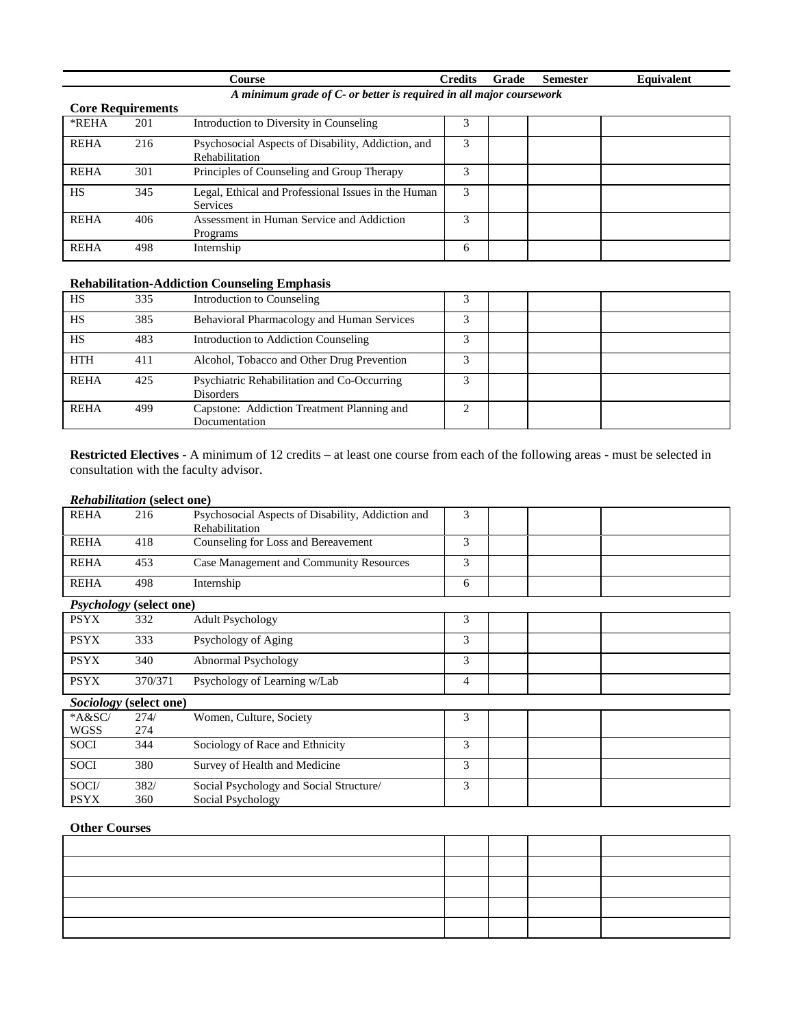| `ourse                                                              | <b>Predits</b> | Grade | Semester | Equivalent |
|---------------------------------------------------------------------|----------------|-------|----------|------------|
| A minimum grade of C- or better is required in all major coursework |                |       |          |            |

| <b>Core Requirements</b> |     |                                                                             |   |  |  |
|--------------------------|-----|-----------------------------------------------------------------------------|---|--|--|
| *REHA                    | 201 | Introduction to Diversity in Counseling                                     |   |  |  |
| <b>REHA</b>              | 216 | Psychosocial Aspects of Disability, Addiction, and<br><b>Rehabilitation</b> | 3 |  |  |
| <b>REHA</b>              | 301 | Principles of Counseling and Group Therapy                                  |   |  |  |
| <b>HS</b>                | 345 | Legal, Ethical and Professional Issues in the Human<br><b>Services</b>      | 3 |  |  |
| <b>REHA</b>              | 406 | Assessment in Human Service and Addiction<br>Programs                       |   |  |  |
| <b>REHA</b>              | 498 | Internship                                                                  | 6 |  |  |

# **Rehabilitation-Addiction Counseling Emphasis**

| HS          | 335 | Introduction to Counseling                                      |  |  |
|-------------|-----|-----------------------------------------------------------------|--|--|
| HS          | 385 | Behavioral Pharmacology and Human Services                      |  |  |
| <b>HS</b>   | 483 | Introduction to Addiction Counseling                            |  |  |
| <b>HTH</b>  | 411 | Alcohol, Tobacco and Other Drug Prevention                      |  |  |
| <b>REHA</b> | 425 | Psychiatric Rehabilitation and Co-Occurring<br><b>Disorders</b> |  |  |
| <b>REHA</b> | 499 | Capstone: Addiction Treatment Planning and<br>Documentation     |  |  |

**Restricted Electives** - A minimum of 12 credits – at least one course from each of the following areas - must be selected in consultation with the faculty advisor.

#### *Rehabilitation* **(select one)**

| <b>REHA</b>                    | 216     | Psychosocial Aspects of Disability, Addiction and<br>Rehabilitation | 3 |  |  |  |
|--------------------------------|---------|---------------------------------------------------------------------|---|--|--|--|
| <b>REHA</b>                    | 418     | Counseling for Loss and Bereavement                                 | 3 |  |  |  |
| <b>REHA</b>                    | 453     | Case Management and Community Resources                             | 3 |  |  |  |
| <b>REHA</b>                    | 498     | Internship                                                          | 6 |  |  |  |
| <b>Psychology</b> (select one) |         |                                                                     |   |  |  |  |
| <b>PSYX</b>                    | 332     | <b>Adult Psychology</b>                                             | 3 |  |  |  |
| <b>PSYX</b>                    | 333     | Psychology of Aging                                                 | 3 |  |  |  |
| <b>PSYX</b>                    | 340     | Abnormal Psychology                                                 | 3 |  |  |  |
| <b>PSYX</b>                    | 370/371 | Psychology of Learning w/Lab                                        | 4 |  |  |  |
| Sociology (select one)         |         |                                                                     |   |  |  |  |

| A&SC        | 274/ | Women, Culture, Society                 |  |  |
|-------------|------|-----------------------------------------|--|--|
| <b>WGSS</b> | 274  |                                         |  |  |
| <b>SOCI</b> | 344  | Sociology of Race and Ethnicity         |  |  |
| <b>SOCI</b> | 380  | Survey of Health and Medicine           |  |  |
| SOCI/       | 382/ | Social Psychology and Social Structure/ |  |  |
| <b>PSYX</b> | 360  | Social Psychology                       |  |  |

## **Other Courses**